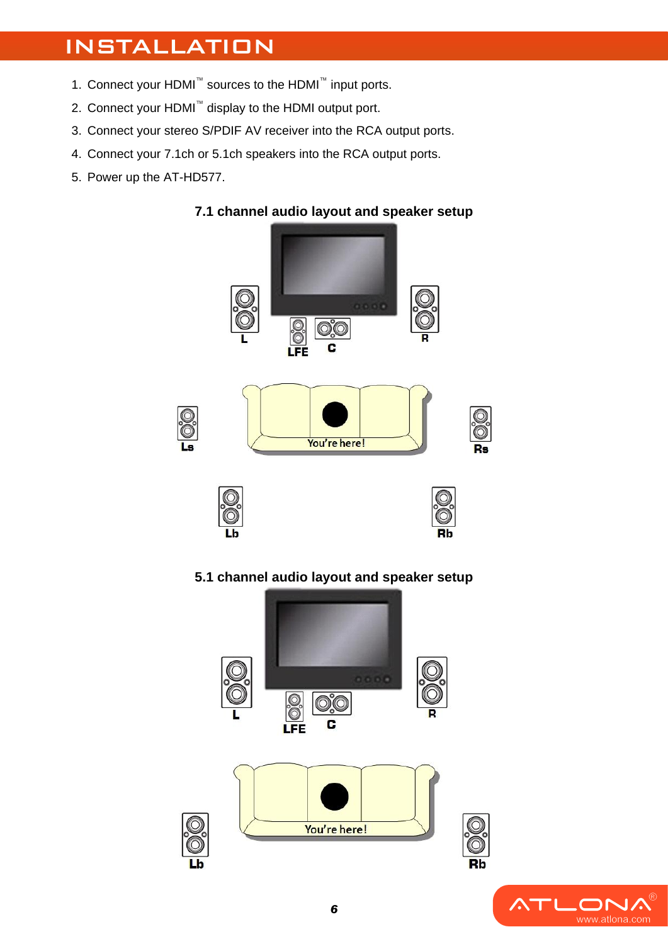# INSTALLATION

- 1. Connect your HDMI™ sources to the HDMI™ input ports.
- 2. Connect your HDMI™ display to the HDMI output port.
- 3. Connect your stereo S/PDIF AV receiver into the RCA output ports.
- 4. Connect your 7.1ch or 5.1ch speakers into the RCA output ports.
- 5. Power up the AT-HD577.



**5.1 channel audio layout and speaker setup**



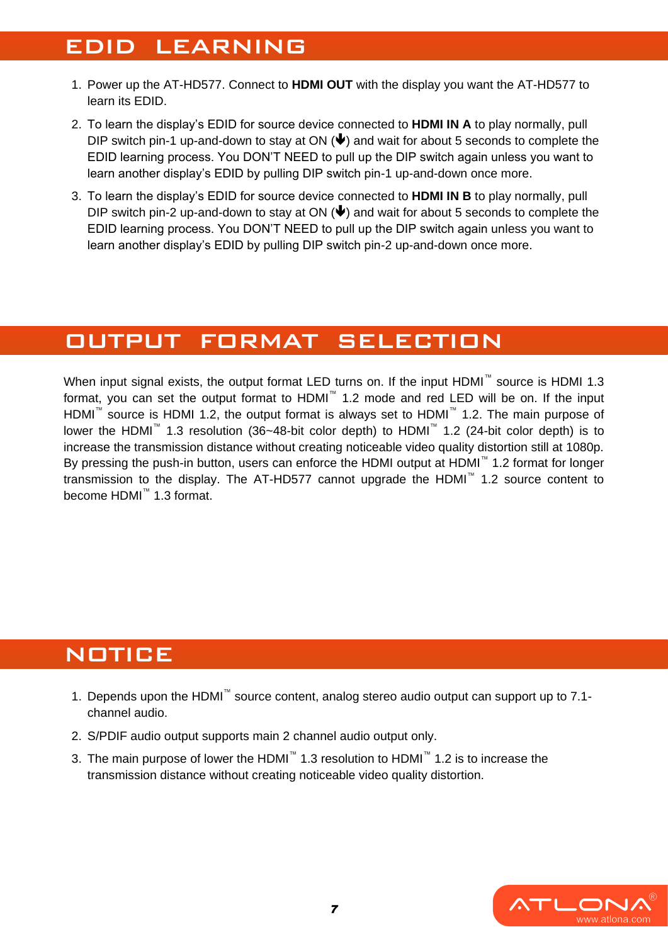## EDID LEARNING

- 1. Power up the AT-HD577. Connect to **HDMI OUT** with the display you want the AT-HD577 to learn its EDID.
- 2. To learn the display's EDID for source device connected to **HDMI IN A** to play normally, pull DIP switch pin-1 up-and-down to stay at ON  $(\blacklozenge)$  and wait for about 5 seconds to complete the EDID learning process. You DON'T NEED to pull up the DIP switch again unless you want to learn another display's EDID by pulling DIP switch pin-1 up-and-down once more.
- 3. To learn the display's EDID for source device connected to **HDMI IN B** to play normally, pull DIP switch pin-2 up-and-down to stay at ON  $(\blacklozenge)$  and wait for about 5 seconds to complete the EDID learning process. You DON'T NEED to pull up the DIP switch again unless you want to learn another display's EDID by pulling DIP switch pin-2 up-and-down once more.

## OUTPUT FORMAT SELECTION

When input signal exists, the output format LED turns on. If the input HDMI™ source is HDMI 1.3 format, you can set the output format to HDMI™ 1.2 mode and red LED will be on. If the input HDMI™ source is HDMI 1.2, the output format is always set to HDMI™ 1.2. The main purpose of lower the HDMI™ 1.3 resolution (36~48-bit color depth) to HDMI™ 1.2 (24-bit color depth) is to increase the transmission distance without creating noticeable video quality distortion still at 1080p. By pressing the push-in button, users can enforce the HDMI output at HDMI™ 1.2 format for longer transmission to the display. The AT-HD577 cannot upgrade the HDMI™ 1.2 source content to become HDMI™ 1.3 format.

## **NOTICE**

- 1. Depends upon the HDMI™ source content, analog stereo audio output can support up to 7.1 channel audio.
- 2. S/PDIF audio output supports main 2 channel audio output only.
- 3. The main purpose of lower the HDMI<sup>™</sup> 1.3 resolution to HDMI<sup>™</sup> 1.2 is to increase the transmission distance without creating noticeable video quality distortion.

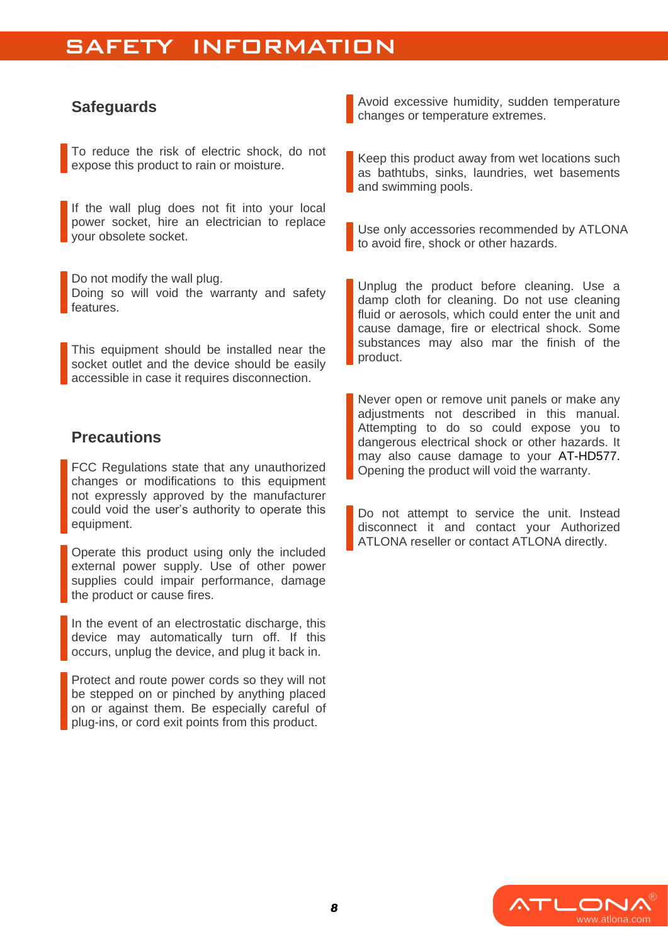## SAFETT INTOXIMAT SAFETY INFORMATION

### **Safeguards**

To reduce the risk of electric shock, do not expose this product to rain or moisture.

If the wall plug does not fit into your local power socket, hire an electrician to replace your obsolete socket.

Do not modify the wall plug. Doing so will void the warranty and safety features.

This equipment should be installed near the socket outlet and the device should be easily accessible in case it requires disconnection.

### **Precautions**

FCC Regulations state that any unauthorized changes or modifications to this equipment not expressly approved by the manufacturer could void the user's authority to operate this equipment.

Operate this product using only the included external power supply. Use of other power supplies could impair performance, damage the product or cause fires.

In the event of an electrostatic discharge, this device may automatically turn off. If this occurs, unplug the device, and plug it back in.

Protect and route power cords so they will not be stepped on or pinched by anything placed on or against them. Be especially careful of plug-ins, or cord exit points from this product.

Avoid excessive humidity, sudden temperature changes or temperature extremes.

Keep this product away from wet locations such as bathtubs, sinks, laundries, wet basements and swimming pools.

Use only accessories recommended by ATLONA to avoid fire, shock or other hazards.

Unplug the product before cleaning. Use a damp cloth for cleaning. Do not use cleaning fluid or aerosols, which could enter the unit and cause damage, fire or electrical shock. Some substances may also mar the finish of the product.

Never open or remove unit panels or make any adjustments not described in this manual. Attempting to do so could expose you to dangerous electrical shock or other hazards. It may also cause damage to your AT-HD577. Opening the product will void the warranty.

Do not attempt to service the unit. Instead disconnect it and contact your Authorized ATLONA reseller or contact ATLONA directly.

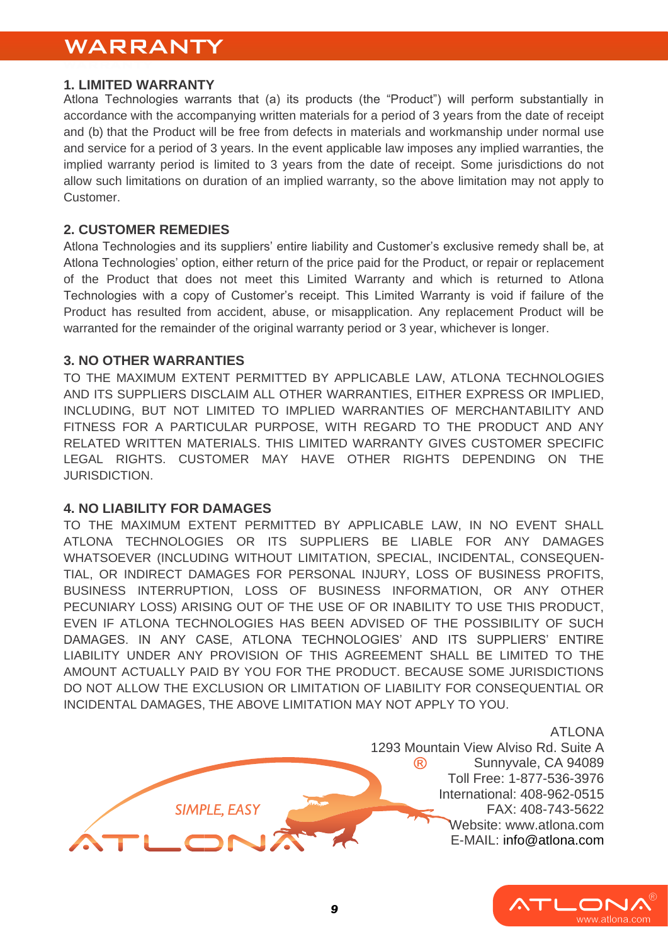### WARRANTY WARRANTY

#### **1. LIMITED WARRANTY**

Atlona Technologies warrants that (a) its products (the "Product") will perform substantially in accordance with the accompanying written materials for a period of 3 years from the date of receipt and (b) that the Product will be free from defects in materials and workmanship under normal use and service for a period of 3 years. In the event applicable law imposes any implied warranties, the implied warranty period is limited to 3 years from the date of receipt. Some jurisdictions do not allow such limitations on duration of an implied warranty, so the above limitation may not apply to Customer.

#### **2. CUSTOMER REMEDIES**

Atlona Technologies and its suppliers' entire liability and Customer's exclusive remedy shall be, at Atlona Technologies' option, either return of the price paid for the Product, or repair or replacement of the Product that does not meet this Limited Warranty and which is returned to Atlona Technologies with a copy of Customer's receipt. This Limited Warranty is void if failure of the Product has resulted from accident, abuse, or misapplication. Any replacement Product will be warranted for the remainder of the original warranty period or 3 year, whichever is longer.

#### **3. NO OTHER WARRANTIES**

TO THE MAXIMUM EXTENT PERMITTED BY APPLICABLE LAW, ATLONA TECHNOLOGIES AND ITS SUPPLIERS DISCLAIM ALL OTHER WARRANTIES, EITHER EXPRESS OR IMPLIED, INCLUDING, BUT NOT LIMITED TO IMPLIED WARRANTIES OF MERCHANTABILITY AND FITNESS FOR A PARTICULAR PURPOSE, WITH REGARD TO THE PRODUCT AND ANY RELATED WRITTEN MATERIALS. THIS LIMITED WARRANTY GIVES CUSTOMER SPECIFIC LEGAL RIGHTS. CUSTOMER MAY HAVE OTHER RIGHTS DEPENDING ON THE JURISDICTION.

#### **4. NO LIABILITY FOR DAMAGES**

SIMPLE, EASY

TO THE MAXIMUM EXTENT PERMITTED BY APPLICABLE LAW, IN NO EVENT SHALL ATLONA TECHNOLOGIES OR ITS SUPPLIERS BE LIABLE FOR ANY DAMAGES WHATSOEVER (INCLUDING WITHOUT LIMITATION, SPECIAL, INCIDENTAL, CONSEQUEN-TIAL, OR INDIRECT DAMAGES FOR PERSONAL INJURY, LOSS OF BUSINESS PROFITS, BUSINESS INTERRUPTION, LOSS OF BUSINESS INFORMATION, OR ANY OTHER PECUNIARY LOSS) ARISING OUT OF THE USE OF OR INABILITY TO USE THIS PRODUCT, EVEN IF ATLONA TECHNOLOGIES HAS BEEN ADVISED OF THE POSSIBILITY OF SUCH DAMAGES. IN ANY CASE, ATLONA TECHNOLOGIES' AND ITS SUPPLIERS' ENTIRE LIABILITY UNDER ANY PROVISION OF THIS AGREEMENT SHALL BE LIMITED TO THE AMOUNT ACTUALLY PAID BY YOU FOR THE PRODUCT. BECAUSE SOME JURISDICTIONS DO NOT ALLOW THE EXCLUSION OR LIMITATION OF LIABILITY FOR CONSEQUENTIAL OR INCIDENTAL DAMAGES, THE ABOVE LIMITATION MAY NOT APPLY TO YOU.

> ATLONA 1293 Mountain View Alviso Rd. Suite A  $\circledR$ Sunnyvale, CA 94089 Toll Free: 1-877-536-3976 International: 408-962-0515 FAX: 408-743-5622 [Website: www.atlona.com](http://www.atlona.com/) [E-MAIL:](mailto:info@atlona.com) info@atlona.com